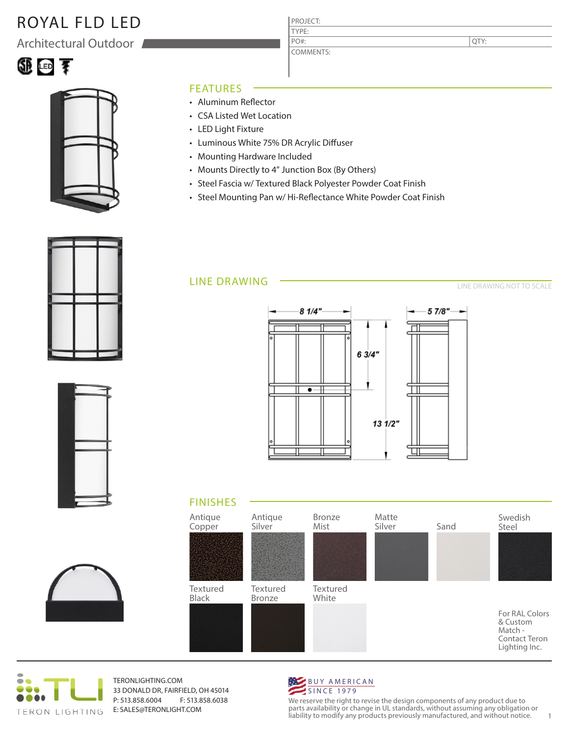## ROYAL FLD LED

Architectural Outdoor





#### FEATURES

- Aluminum Reflector
- CSA Listed Wet Location
- LED Light Fixture
- Luminous White 75% DR Acrylic Diffuser
- Mounting Hardware Included
- Mounts Directly to 4" Junction Box (By Others)
- Steel Fascia w/ Textured Black Polyester Powder Coat Finish

PROJECT: TYPE:

PO#:

COMMENTS:

• Steel Mounting Pan w/ Hi-Reflectance White Powder Coat Finish

### LINE DRAWING

LINE DRAWING NOT TO SCALE

QTY:













TERONLIGHTING.COM 33 DONALD DR, FAIRFIELD, OH 45014 P: 513.858.6004 F: 513.858.6038 E: SALES@TERONLIGHT.COM



We reserve the right to revise the design components of any product due to parts availability or change in UL standards, without assuming any obligation or liability to modify any products previously manufactured, and without notice. 1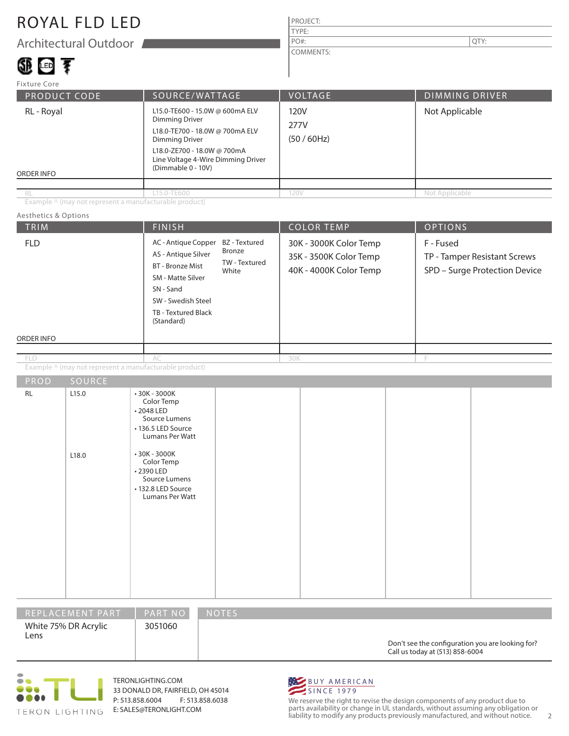## ROYAL FLD LED

Architectural Outdoor

# ①画す

#### PROJECT: TYPE: COMMENTS: PO#:  $\vert$  QTY:

| <b>Fixture Core</b>             |                                                                                                                                                                                                                 |                           |                       |
|---------------------------------|-----------------------------------------------------------------------------------------------------------------------------------------------------------------------------------------------------------------|---------------------------|-----------------------|
| <b>PRODUCT CODE</b>             | SOURCE/WATTAGE                                                                                                                                                                                                  | <b>VOLTAGE</b>            | <b>DIMMING DRIVER</b> |
| RL - Royal<br><b>ORDER INFO</b> | L15.0-TE600 - 15.0W @ 600mA ELV<br><b>Dimming Driver</b><br>L18.0-TE700 - 18.0W @ 700mA ELV<br><b>Dimming Driver</b><br>L18.0-ZE700 - 18.0W @ 700mA<br>Line Voltage 4-Wire Dimming Driver<br>(Dimmable 0 - 10V) | 120V<br>277V<br>(50/60Hz) | Not Applicable        |
| RL                              | L15.0-TE600                                                                                                                                                                                                     | 120V                      | Not Applicable        |

Example ^ (may not represent a manufacturable product)

| Aesthetics & Options |                |                                                                                                                                                                                                                   |                                                                                                              |                   |                                                                            |  |
|----------------------|----------------|-------------------------------------------------------------------------------------------------------------------------------------------------------------------------------------------------------------------|--------------------------------------------------------------------------------------------------------------|-------------------|----------------------------------------------------------------------------|--|
| TRIM                 |                | <b>FINISH</b>                                                                                                                                                                                                     |                                                                                                              | <b>COLOR TEMP</b> | <b>OPTIONS</b>                                                             |  |
| <b>FLD</b>           |                | AC - Antique Copper<br>Bronze<br>AS - Antique Silver<br><b>BT</b> - Bronze Mist<br>White<br>SM - Matte Silver<br>SN - Sand<br>SW - Swedish Steel<br>TB - Textured Black<br>(Standard)                             | BZ - Textured<br>30K - 3000K Color Temp<br>35K - 3500K Color Temp<br>TW - Textured<br>40K - 4000K Color Temp |                   | F - Fused<br>TP - Tamper Resistant Screws<br>SPD - Surge Protection Device |  |
| ORDER INFO           |                |                                                                                                                                                                                                                   |                                                                                                              |                   |                                                                            |  |
| <b>FLD</b>           |                | AC                                                                                                                                                                                                                | 30K                                                                                                          |                   | F                                                                          |  |
|                      |                | Example ^ (may not represent a manufacturable product)                                                                                                                                                            |                                                                                                              |                   |                                                                            |  |
| PROD                 | SOURCE         |                                                                                                                                                                                                                   |                                                                                                              |                   |                                                                            |  |
| <b>RL</b>            | L15.0<br>L18.0 | $•30K - 3000K$<br>Color Temp<br>•2048 LED<br>Source Lumens<br>• 136.5 LED Source<br>Lumans Per Watt<br>$•30K - 3000K$<br>Color Temp<br>•2390 LED<br>Source Lumens<br>• 132.8 LED Source<br><b>Lumans Per Watt</b> |                                                                                                              |                   |                                                                            |  |

| REPLACEMENT PART             | <b>PART NO</b> | <b>NOTES</b>                                                                        |
|------------------------------|----------------|-------------------------------------------------------------------------------------|
| White 75% DR Acrylic<br>Lens | 3051060        | Don't see the configuration you are looking for?<br>Call us today at (513) 858-6004 |



TERONLIGHTING.COM 33 DONALD DR, FAIRFIELD, OH 45014 P: 513.858.6004 F: 513.858.6038 E: SALES@TERONLIGHT.COM



We reserve the right to revise the design components of any product due to parts availability or change in UL standards, without assuming any obligation or liability to modify any products previously manufactured, and without notice. 2